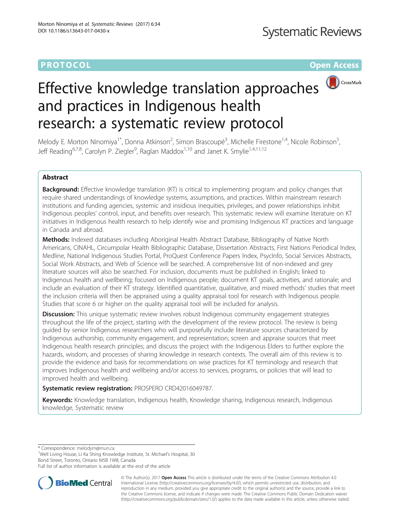# **PROTOCOL CONSUMING THE OPEN ACCESS**



# Effective knowledge translation approaches and practices in Indigenous health research: a systematic review protocol

Melody E. Morton Ninomiya<sup>1\*</sup>, Donna Atkinson<sup>2</sup>, Simon Brascoupé<sup>3</sup>, Michelle Firestone<sup>1,4</sup>, Nicole Robinson<sup>5</sup> , Jeff Reading<sup>6,7,8</sup>, Carolyn P. Ziegler<sup>9</sup>, Raglan Maddox<sup>1,10</sup> and Janet K. Smylie<sup>1,4,11,12</sup>

## Abstract

**Background:** Effective knowledge translation (KT) is critical to implementing program and policy changes that require shared understandings of knowledge systems, assumptions, and practices. Within mainstream research institutions and funding agencies, systemic and insidious inequities, privileges, and power relationships inhibit Indigenous peoples' control, input, and benefits over research. This systematic review will examine literature on KT initiatives in Indigenous health research to help identify wise and promising Indigenous KT practices and language in Canada and abroad.

Methods: Indexed databases including Aboriginal Health Abstract Database, Bibliography of Native North Americans, CINAHL, Circumpolar Health Bibliographic Database, Dissertation Abstracts, First Nations Periodical Index, Medline, National Indigenous Studies Portal, ProQuest Conference Papers Index, PsycInfo, Social Services Abstracts, Social Work Abstracts, and Web of Science will be searched. A comprehensive list of non-indexed and grey literature sources will also be searched. For inclusion, documents must be published in English; linked to Indigenous health and wellbeing; focused on Indigenous people; document KT goals, activities, and rationale; and include an evaluation of their KT strategy. Identified quantitative, qualitative, and mixed methods' studies that meet the inclusion criteria will then be appraised using a quality appraisal tool for research with Indigenous people. Studies that score 6 or higher on the quality appraisal tool will be included for analysis.

Discussion: This unique systematic review involves robust Indigenous community engagement strategies throughout the life of the project, starting with the development of the review protocol. The review is being guided by senior Indigenous researchers who will purposefully include literature sources characterized by Indigenous authorship, community engagement, and representation; screen and appraise sources that meet Indigenous health research principles; and discuss the project with the Indigenous Elders to further explore the hazards, wisdom, and processes of sharing knowledge in research contexts. The overall aim of this review is to provide the evidence and basis for recommendations on wise practices for KT terminology and research that improves Indigenous health and wellbeing and/or access to services, programs, or policies that will lead to improved health and wellbeing.

Systematic review registration: PROSPERO [CRD42016049787](https://www.crd.york.ac.uk/PROSPERO/display_record.asp?ID=CRD42016049787).

Keywords: Knowledge translation, Indigenous health, Knowledge sharing, Indigenous research, Indigenous knowledge, Systematic review

\* Correspondence: [melodym@mun.ca](mailto:melodym@mun.ca) <sup>1</sup>

<sup>1</sup>Well Living House, Li Ka Shing Knowledge Institute, St. Michael's Hospital, 30 Bond Street, Toronto, Ontario M5B 1W8, Canada

Full list of author information is available at the end of the article



© The Author(s). 2017 **Open Access** This article is distributed under the terms of the Creative Commons Attribution 4.0 International License [\(http://creativecommons.org/licenses/by/4.0/](http://creativecommons.org/licenses/by/4.0/)), which permits unrestricted use, distribution, and reproduction in any medium, provided you give appropriate credit to the original author(s) and the source, provide a link to the Creative Commons license, and indicate if changes were made. The Creative Commons Public Domain Dedication waiver [\(http://creativecommons.org/publicdomain/zero/1.0/](http://creativecommons.org/publicdomain/zero/1.0/)) applies to the data made available in this article, unless otherwise stated.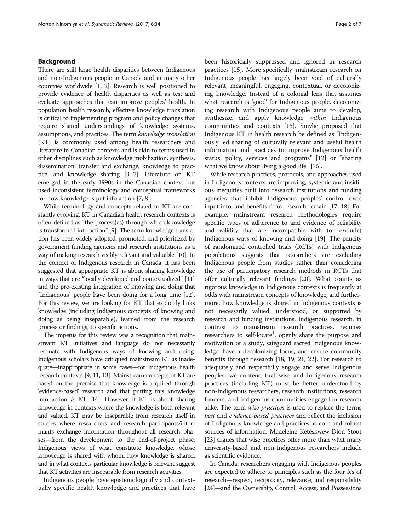### Background

There are still large health disparities between Indigenous and non-Indigenous people in Canada and in many other countries worldwide [[1](#page-5-0), [2](#page-5-0)]. Research is well positioned to provide evidence of health disparities as well as test and evaluate approaches that can improve peoples' health. In population health research, effective knowledge translation is critical to implementing program and policy changes that require shared understandings of knowledge systems, assumptions, and practices. The term knowledge translation (KT) is commonly used among health researchers and literature in Canadian contexts and is akin to terms used in other disciplines such as knowledge mobilization, synthesis, dissemination, transfer and exchange, knowledge to practice, and knowledge sharing [\[3](#page-5-0)–[7](#page-6-0)]. Literature on KT emerged in the early 1990s in the Canadian context but used inconsistent terminology and conceptual frameworks for how knowledge is put into action [\[7](#page-6-0), [8](#page-6-0)].

While terminology and concepts related to KT are constantly evolving, KT in Canadian health research contexts is often defined as "the process(es) through which knowledge is transformed into action" [[9](#page-6-0)]. The term knowledge translation has been widely adopted, promoted, and prioritized by government funding agencies and research institutions as a way of making research visibly relevant and valuable [\[10\]](#page-6-0). In the context of Indigenous research in Canada, it has been suggested that appropriate KT is about sharing knowledge in ways that are "locally developed and contextualized" [\[11](#page-6-0)] and the pre-existing integration of knowing and doing that [Indigenous] people have been doing for a long time [\[12](#page-6-0)]. For this review, we are looking for KT that explicitly links knowledge (including Indigenous concepts of knowing and doing as being inseparable), learned from the research process or findings, to specific actions.

The impetus for this review was a recognition that mainstream KT initiatives and language do not necessarily resonate with Indigenous ways of knowing and doing. Indigenous scholars have critiqued mainstream KT as inadequate—inappropriate in some cases—for Indigenous health research contexts [\[9](#page-6-0), [11](#page-6-0), [13](#page-6-0)]. Mainstream concepts of KT are based on the premise that knowledge is acquired through 'evidence-based' research and that putting this knowledge into action is KT [\[14](#page-6-0)]. However, if KT is about sharing knowledge in contexts where the knowledge is both relevant and valued, KT may be inseparable from research itself in studies where researchers and research participants/informants exchange information throughout all research phases—from the development to the end-of-project phase. Indigenous views of what constitute knowledge, whose knowledge is shared with whom, how knowledge is shared, and in what contexts particular knowledge is relevant suggest that KT activities are inseparable from research activities.

Indigenous people have epistemologically and contextually specific health knowledge and practices that have been historically suppressed and ignored in research practices [[15](#page-6-0)]. More specifically, mainstream research on Indigenous people has largely been void of culturally relevant, meaningful, engaging, contextual, or decolonizing knowledge. Instead of a colonial lens that assumes what research is 'good' for Indigenous people, decolonizing research with Indigenous people aims to develop, synthesize, and apply knowledge within Indigenous communities and contexts [\[15](#page-6-0)]. Smylie proposed that Indigenous KT in health research be defined as "Indigenously led sharing of culturally relevant and useful health information and practices to improve Indigenous health status, policy, services and programs" [[12](#page-6-0)] or "sharing what we know about living a good life" [\[16\]](#page-6-0).

While research practices, protocols, and approaches used in Indigenous contexts are improving, systemic and insidious inequities built into research institutions and funding agencies that inhibit Indigenous peoples' control over, input into, and benefits from research remain [[17](#page-6-0), [18\]](#page-6-0). For example, mainstream research methodologies require specific types of adherence to and evidence of reliability and validity that are incompatible with (or exclude) Indigenous ways of knowing and doing [\[19\]](#page-6-0). The paucity of randomized controlled trials (RCTs) with Indigenous populations suggests that researchers are excluding Indigenous people from studies rather than considering the use of participatory research methods in RCTs that offer culturally relevant findings [\[20\]](#page-6-0). What counts as rigorous knowledge in Indigenous contexts is frequently at odds with mainstream concepts of knowledge, and furthermore, how knowledge is shared in Indigenous contexts is not necessarily valued, understood, or supported by research and funding institutions. Indigenous research, in contrast to mainstream research practices, requires researchers to self-locate<sup>1</sup>, openly share the purpose and motivation of a study, safeguard sacred Indigenous knowledge, have a decolonizing focus, and ensure community benefits through research [[18, 19](#page-6-0), [21](#page-6-0), [22](#page-6-0)]. For research to adequately and respectfully engage and serve Indigenous peoples, we contend that wise and Indigenous research practices (including KT) must be better understood by non-Indigenous researchers, research institutions, research funders, and Indigenous communities engaged in research alike. The term *wise practices* is used to replace the terms best and evidence-based practices and reflect the inclusion of Indigenous knowledge and practices as core and robust sources of information. Madeleine Kētēskwew Dion Stout [[23](#page-6-0)] argues that wise practices offer more than what many university-based and non-Indigenous researchers include as scientific evidence.

In Canada, researchers engaging with Indigenous peoples are expected to adhere to principles such as the four R's of research—respect, reciprocity, relevance, and responsibility [[24](#page-6-0)]—and the Ownership, Control, Access, and Possessions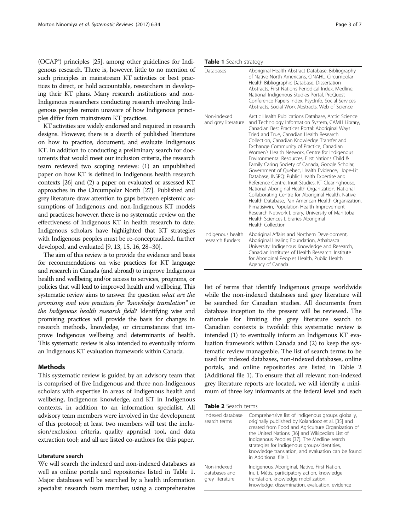(OCAP®) principles [\[25](#page-6-0)], among other guidelines for Indigenous research. There is, however, little to no mention of such principles in mainstream KT activities or best practices to direct, or hold accountable, researchers in developing their KT plans. Many research institutions and non-Indigenous researchers conducting research involving Indigenous peoples remain unaware of how Indigenous principles differ from mainstream KT practices.

KT activities are widely endorsed and required in research designs. However, there is a dearth of published literature on how to practice, document, and evaluate Indigenous KT. In addition to conducting a preliminary search for documents that would meet our inclusion criteria, the research team reviewed two scoping reviews: (1) an unpublished paper on how KT is defined in Indigenous health research contexts [\[26](#page-6-0)] and (2) a paper on evaluated or assessed KT approaches in the Circumpolar North [\[27](#page-6-0)]. Published and grey literature draw attention to gaps between epistemic assumptions of Indigenous and non-Indigenous KT models and practices; however, there is no systematic review on the effectiveness of Indigenous KT in health research to date. Indigenous scholars have highlighted that KT strategies with Indigenous peoples must be re-conceptualized, further developed, and evaluated [\[9, 13, 15, 16](#page-6-0), [28](#page-6-0)–[30](#page-6-0)].

The aim of this review is to provide the evidence and basis for recommendations on wise practices for KT language and research in Canada (and abroad) to improve Indigenous health and wellbeing and/or access to services, programs, or policies that will lead to improved health and wellbeing. This systematic review aims to answer the question what are the promising and wise practices for "knowledge translation" in the Indigenous health research field? Identifying wise and promising practices will provide the basis for changes in research methods, knowledge, or circumstances that improve Indigenous wellbeing and determinants of health. This systematic review is also intended to eventually inform an Indigenous KT evaluation framework within Canada.

#### Methods

This systematic review is guided by an advisory team that is comprised of five Indigenous and three non-Indigenous scholars with expertise in areas of Indigenous health and wellbeing, Indigenous knowledge, and KT in Indigenous contexts, in addition to an information specialist. All advisory team members were involved in the development of this protocol; at least two members will test the inclusion/exclusion criteria, quality appraisal tool, and data extraction tool; and all are listed co-authors for this paper.

#### Literature search

We will search the indexed and non-indexed databases as well as online portals and repositories listed in Table 1. Major databases will be searched by a health information specialist research team member, using a comprehensive

#### Table 1 Search strategy

| Databases                             | Aboriginal Health Abstract Database, Bibliography<br>of Native North Americans, CINAHL, Circumpolar<br>Health Bibliographic Database, Dissertation<br>Abstracts, First Nations Periodical Index, Medline,<br>National Indigenous Studies Portal, ProQuest<br>Conference Papers Index, PsycInfo, Social Services<br>Abstracts, Social Work Abstracts, Web of Science                                                                                                                                                                                                                                                                                                                                                                                                                                                                                                                                                                               |
|---------------------------------------|---------------------------------------------------------------------------------------------------------------------------------------------------------------------------------------------------------------------------------------------------------------------------------------------------------------------------------------------------------------------------------------------------------------------------------------------------------------------------------------------------------------------------------------------------------------------------------------------------------------------------------------------------------------------------------------------------------------------------------------------------------------------------------------------------------------------------------------------------------------------------------------------------------------------------------------------------|
| Non-indexed<br>and grey literature    | Arctic Health Publications Database, Arctic Science<br>and Technology Information System, CAMH Library,<br>Canadian Best Practices Portal: Aboriginal Ways<br>Tried and True, Canadian Health Research<br>Collection, Canadian Knowledge Transfer and<br>Exchange Community of Practice, Canadian<br>Women's Health Network, Centre for Indigenous<br>Environmental Resources, First Nations Child &<br>Family Caring Society of Canada, Google Scholar,<br>Government of Quebec, Health Evidence, Hope-Lit<br>Database, INSPQ: Public Health Expertise and<br>Reference Centre, Inuit Studies, KT Clearinghouse,<br>National Aboriginal Health Organization, National<br>Collaborating Centre for Aboriginal Health, Native<br>Health Database, Pan American Health Organization,<br>Pimatisiwin, Population Health Improvement<br>Research Network Library, University of Manitoba<br>Health Sciences Libraries Aboriginal<br>Health Collection |
| Indigenous health<br>research funders | Aboriginal Affairs and Northern Development,<br>Aboriginal Healing Foundation, Athabasca<br>University: Indigenous Knowledge and Research,<br>Canadian Institutes of Health Research: Institute<br>for Aboriginal Peoples Health, Public Health<br>Agency of Canada                                                                                                                                                                                                                                                                                                                                                                                                                                                                                                                                                                                                                                                                               |

list of terms that identify Indigenous groups worldwide while the non-indexed databases and grey literature will be searched for Canadian studies. All documents from database inception to the present will be reviewed. The rationale for limiting the grey literature search to Canadian contexts is twofold: this systematic review is intended (1) to eventually inform an Indigenous KT evaluation framework within Canada and (2) to keep the systematic review manageable. The list of search terms to be used for indexed databases, non-indexed databases, online portals, and online repositories are listed in Table 2 (Additional file [1\)](#page-5-0). To ensure that all relevant non-indexed grey literature reports are located, we will identify a minimum of three key informants at the federal level and each

Table 2 Search terms

| Indexed database<br>search terms                | Comprehensive list of Indigenous groups globally,<br>originally published by Kolahdooz et al. [35] and<br>created from Food and Agriculture Organization of<br>the United Nations [36] and Wikipedia's List of<br>Indigenous Peoples [37]. The Medline search<br>strategies for Indigenous groups/identities,<br>knowledge translation, and evaluation can be found<br>in Additional file 1. |  |
|-------------------------------------------------|----------------------------------------------------------------------------------------------------------------------------------------------------------------------------------------------------------------------------------------------------------------------------------------------------------------------------------------------------------------------------------------------|--|
| Non-indexed<br>databases and<br>grey literature | Indigenous, Aboriginal, Native, First Nation,<br>Inuit, Métis, participatory action, knowledge<br>translation, knowledge mobilization,<br>knowledge, dissemination, evaluation, evidence                                                                                                                                                                                                     |  |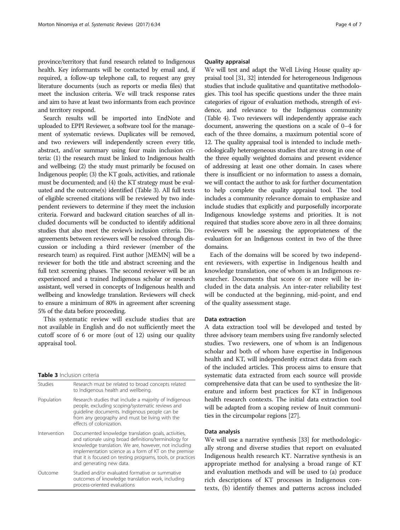province/territory that fund research related to Indigenous health. Key informants will be contacted by email and, if required, a follow-up telephone call, to request any grey literature documents (such as reports or media files) that meet the inclusion criteria. We will track response rates and aim to have at least two informants from each province and territory respond.

Search results will be imported into EndNote and uploaded to EPPI Reviewer, a software tool for the management of systematic reviews. Duplicates will be removed, and two reviewers will independently screen every title, abstract, and/or summary using four main inclusion criteria: (1) the research must be linked to Indigenous health and wellbeing; (2) the study must primarily be focused on Indigenous people; (3) the KT goals, activities, and rationale must be documented; and (4) the KT strategy must be evaluated and the outcome(s) identified (Table 3). All full texts of eligible screened citations will be reviewed by two independent reviewers to determine if they meet the inclusion criteria. Forward and backward citation searches of all included documents will be conducted to identify additional studies that also meet the review's inclusion criteria. Disagreements between reviewers will be resolved through discussion or including a third reviewer (member of the research team) as required. First author [MEMN] will be a reviewer for both the title and abstract screening and the full text screening phases. The second reviewer will be an experienced and a trained Indigenous scholar or research assistant, well versed in concepts of Indigenous health and wellbeing and knowledge translation. Reviewers will check to ensure a minimum of 80% in agreement after screening 5% of the data before proceeding.

This systematic review will exclude studies that are not available in English and do not sufficiently meet the cutoff score of 6 or more (out of 12) using our quality appraisal tool.

#### Table 3 Inclusion criteria

| <b>Studies</b> | Research must be related to broad concepts related<br>to Indigenous health and wellbeing.                                                                                                                                                                                                                                 |  |
|----------------|---------------------------------------------------------------------------------------------------------------------------------------------------------------------------------------------------------------------------------------------------------------------------------------------------------------------------|--|
| Population     | Research studies that include a majority of Indigenous<br>people, excluding scoping/systematic reviews and<br>quideline documents. Indigenous people can be<br>from any geography and must be living with the<br>effects of colonization.                                                                                 |  |
| Intervention   | Documented knowledge translation goals, activities,<br>and rationale using broad definitions/terminology for<br>knowledge translation. We are, however, not including<br>implementation science as a form of KT on the premise<br>that it is focused on testing programs, tools, or practices<br>and generating new data. |  |
| Outcome        | Studied and/or evaluated formative or summative<br>outcomes of knowledge translation work, including<br>process-oriented evaluations                                                                                                                                                                                      |  |

#### Quality appraisal

We will test and adapt the Well Living House quality appraisal tool [\[31, 32\]](#page-6-0) intended for heterogeneous Indigenous studies that include qualitative and quantitative methodologies. This tool has specific questions under the three main categories of rigour of evaluation methods, strength of evidence, and relevance to the Indigenous community (Table [4](#page-4-0)). Two reviewers will independently appraise each document, answering the questions on a scale of 0–4 for each of the three domains, a maximum potential score of 12. The quality appraisal tool is intended to include methodologically heterogeneous studies that are strong in one of the three equally weighted domains and present evidence of addressing at least one other domain. In cases where there is insufficient or no information to assess a domain, we will contact the author to ask for further documentation to help complete the quality appraisal tool. The tool includes a community relevance domain to emphasize and include studies that explicitly and purposefully incorporate Indigenous knowledge systems and priorities. It is not required that studies score above zero in all three domains; reviewers will be assessing the appropriateness of the evaluation for an Indigenous context in two of the three domains.

Each of the domains will be scored by two independent reviewers, with expertise in Indigenous health and knowledge translation, one of whom is an Indigenous researcher. Documents that score 6 or more will be included in the data analysis. An inter-rater reliability test will be conducted at the beginning, mid-point, and end of the quality assessment stage.

#### Data extraction

A data extraction tool will be developed and tested by three advisory team members using five randomly selected studies. Two reviewers, one of whom is an Indigenous scholar and both of whom have expertise in Indigenous health and KT, will independently extract data from each of the included articles. This process aims to ensure that systematic data extracted from each source will provide comprehensive data that can be used to synthesize the literature and inform best practices for KT in Indigenous health research contexts. The initial data extraction tool will be adapted from a scoping review of Inuit communities in the circumpolar regions [[27](#page-6-0)].

#### Data analysis

We will use a narrative synthesis [[33\]](#page-6-0) for methodologically strong and diverse studies that report on evaluated Indigenous health research KT. Narrative synthesis is an appropriate method for analysing a broad range of KT and evaluation methods and will be used to (a) produce rich descriptions of KT processes in Indigenous contexts, (b) identify themes and patterns across included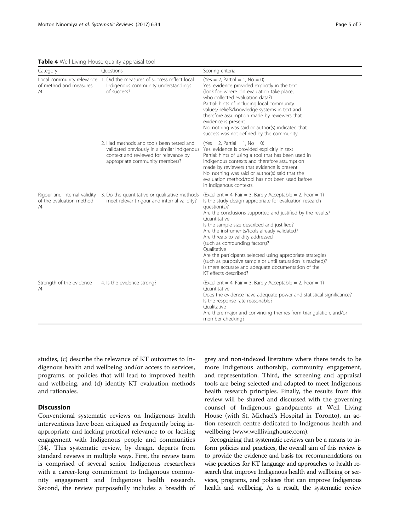<span id="page-4-0"></span>Table 4 Well Living House quality appraisal tool

| Category                       | Questions                                                                                                                                                           | Scoring criteria                                                                                                                                                                                                                                                                                                                                                                                                                                                                                                                                                                                                      |
|--------------------------------|---------------------------------------------------------------------------------------------------------------------------------------------------------------------|-----------------------------------------------------------------------------------------------------------------------------------------------------------------------------------------------------------------------------------------------------------------------------------------------------------------------------------------------------------------------------------------------------------------------------------------------------------------------------------------------------------------------------------------------------------------------------------------------------------------------|
| of method and measures<br>/4   | Local community relevance 1. Did the measures of success reflect local<br>Indigenous community understandings<br>of success?                                        | $(Yes = 2, Partial = 1, No = 0)$<br>Yes: evidence provided explicitly in the text<br>(look for: where did evaluation take place,<br>who collected evaluation data?)<br>Partial: hints of including local community<br>values/beliefs/knowledge systems in text and<br>therefore assumption made by reviewers that<br>evidence is present<br>No: nothing was said or author(s) indicated that<br>success was not defined by the community.                                                                                                                                                                             |
|                                | 2. Had methods and tools been tested and<br>validated previously in a similar Indigenous<br>context and reviewed for relevance by<br>appropriate community members? | $(Yes = 2, Partial = 1, No = 0)$<br>Yes: evidence is provided explicitly in text<br>Partial: hints of using a tool that has been used in<br>Indigenous contexts and therefore assumption<br>made by reviewers that evidence is present<br>No: nothing was said or author(s) said that the<br>evaluation method/tool has not been used before<br>in Indigenous contexts.                                                                                                                                                                                                                                               |
| of the evaluation method<br>/4 | Rigour and internal validity 3. Do the quantitative or qualitative methods<br>meet relevant rigour and internal validity?                                           | (Excellent = 4, Fair = 3, Barely Acceptable = 2, Poor = 1)<br>Is the study design appropriate for evaluation research<br>question(s)?<br>Are the conclusions supported and justified by the results?<br>Ouantitative<br>Is the sample size described and justified?<br>Are the instruments/tools already validated?<br>Are threats to validity addressed<br>(such as confounding factors)?<br>Oualitative<br>Are the participants selected using appropriate strategies<br>(such as purposive sample or until saturation is reached)?<br>Is there accurate and adequate documentation of the<br>KT effects described? |
| Strength of the evidence<br>/4 | 4. Is the evidence strong?                                                                                                                                          | $\text{Excellent} = 4$ , Fair = 3, Barely Acceptable = 2, Poor = 1)<br>Ouantitative<br>Does the evidence have adequate power and statistical significance?<br>Is the response rate reasonable?<br>Oualitative<br>Are there major and convincing themes from triangulation, and/or<br>member checking?                                                                                                                                                                                                                                                                                                                 |

studies, (c) describe the relevance of KT outcomes to Indigenous health and wellbeing and/or access to services, programs, or policies that will lead to improved health and wellbeing, and (d) identify KT evaluation methods and rationales.

# Discussion

Conventional systematic reviews on Indigenous health interventions have been critiqued as frequently being inappropriate and lacking practical relevance to or lacking engagement with Indigenous people and communities [[34\]](#page-6-0). This systematic review, by design, departs from standard reviews in multiple ways. First, the review team is comprised of several senior Indigenous researchers with a career-long commitment to Indigenous community engagement and Indigenous health research. Second, the review purposefully includes a breadth of grey and non-indexed literature where there tends to be more Indigenous authorship, community engagement, and representation. Third, the screening and appraisal tools are being selected and adapted to meet Indigenous health research principles. Finally, the results from this review will be shared and discussed with the governing counsel of Indigenous grandparents at Well Living House (with St. Michael's Hospital in Toronto), an action research centre dedicated to Indigenous health and wellbeing [\(www.welllivinghouse.com\)](http://www.welllivinghouse.com).

Recognizing that systematic reviews can be a means to inform policies and practices, the overall aim of this review is to provide the evidence and basis for recommendations on wise practices for KT language and approaches to health research that improve Indigenous health and wellbeing or services, programs, and policies that can improve Indigenous health and wellbeing. As a result, the systematic review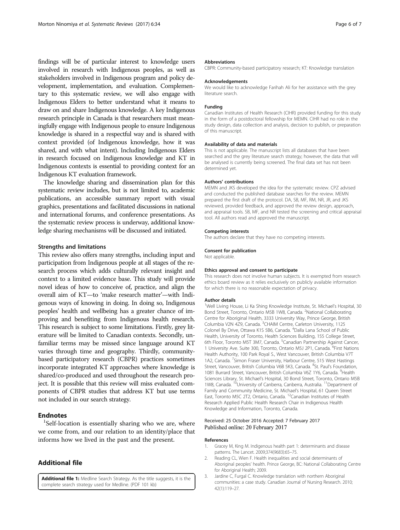<span id="page-5-0"></span>findings will be of particular interest to knowledge users involved in research with Indigenous peoples, as well as stakeholders involved in Indigenous program and policy development, implementation, and evaluation. Complementary to this systematic review, we will also engage with Indigenous Elders to better understand what it means to draw on and share Indigenous knowledge. A key Indigenous research principle in Canada is that researchers must meaningfully engage with Indigenous people to ensure Indigenous knowledge is shared in a respectful way and is shared with context provided (of Indigenous knowledge, how it was shared, and with what intent). Including Indigenous Elders in research focused on Indigenous knowledge and KT in Indigenous contexts is essential to providing context for an Indigenous KT evaluation framework.

The knowledge sharing and dissemination plan for this systematic review includes, but is not limited to, academic publications, an accessible summary report with visual graphics, presentations and facilitated discussions in national and international forums, and conference presentations. As the systematic review process is underway, additional knowledge sharing mechanisms will be discussed and initiated.

#### Strengths and limitations

This review also offers many strengths, including input and participation from Indigenous people at all stages of the research process which adds culturally relevant insight and context to a limited evidence base. This study will provide novel ideas of how to conceive of, practice, and align the overall aim of KT—to 'make research matter'—with Indigenous ways of knowing in doing. In doing so, Indigenous peoples' health and wellbeing has a greater chance of improving and benefiting from Indigenous health research. This research is subject to some limitations. Firstly, grey literature will be limited to Canadian contexts. Secondly, unfamiliar terms may be missed since language around KT varies through time and geography. Thirdly, communitybased participatory research (CBPR) practices sometimes incorporate integrated KT approaches where knowledge is shared/co-produced and used throughout the research project. It is possible that this review will miss evaluated components of CBPR studies that address KT but use terms not included in our search strategy.

#### **Endnotes**

 ${}^{1}$ Self-location is essentially sharing who we are, where we come from, and our relation to an identity/place that informs how we lived in the past and the present.

#### Additional file

[Additional file 1:](dx.doi.org/10.1186/s13643-017-0430-x) Medline Search Strategy. As the title suggests, it is the complete search strategy used for Medline. (PDF 101 kb)

#### Abbreviations

CBPR: Community-based participatory research; KT: Knowledge translation

#### Acknowledgements

We would like to acknowledge Farihah Ali for her assistance with the grey literature search.

#### Funding

Canadian Institutes of Health Research (CIHR) provided funding for this study in the form of a postdoctoral fellowship for MEMN. CIHR had no role in the study design, data collection and analysis, decision to publish, or preparation of this manuscript.

#### Availability of data and materials

This is not applicable. The manuscript lists all databases that have been searched and the grey literature search strategy; however, the data that will be analysed is currently being screened. The final data set has not been determined yet.

#### Authors' contributions

MEMN and JKS developed the idea for the systematic review. CPZ advised and conducted the published database searches for the review. MEMN prepared the first draft of the protocol. DA, SB, MF, RM, NR, JR, and JKS reviewed, provided feedback, and approved the review design, approach, and appraisal tools. SB, MF, and NR tested the screening and critical appraisal tool. All authors read and approved the manuscript.

#### Competing interests

The authors declare that they have no competing interests.

#### Consent for publication

Not applicable.

#### Ethics approval and consent to participate

This research does not involve human subjects. It is exempted from research ethics board review as it relies exclusively on publicly available information for which there is no reasonable expectation of privacy.

#### Author details

<sup>1</sup>Well Living House, Li Ka Shing Knowledge Institute, St. Michael's Hospital, 30 Bond Street, Toronto, Ontario M5B 1W8, Canada. <sup>2</sup>National Collaborating Centre for Aboriginal Health, 3333 University Way, Prince George, British Columbia V2N 429, Canada. <sup>3</sup>CHAIM Centre, Carleton University, 1125 Colonel By Drive, Ottawa K1S 5B6, Canada. <sup>4</sup>Dalla Lana School of Public Health, University of Toronto, Health Sciences Building, 155 College Street, 6th Floor, Toronto M5T 3M7, Canada. <sup>5</sup>Canadian Partnership Against Cancer, 1 University Ave. Suite 300, Toronto, Ontario M5J 2P1, Canada. <sup>6</sup>First Nations Health Authority, 100 Park Royal S., West Vancouver, British Columbia V7T 1A2, Canada. <sup>7</sup>Simon Fraser University, Harbour Centre, 515 West Hastings Street, Vancouver, British Columbia V6B 5K3, Canada. <sup>8</sup>St. Paul's Foundation, 1081 Burrard Street, Vancouver, British Columbia V6Z 1Y6, Canada. <sup>9</sup>Health Sciences Library, St. Michael's Hospital, 30 Bond Street, Toronto, Ontario M5B 1W8, Canada. <sup>10</sup>University of Canberra, Canberra, Australia. <sup>11</sup>Department of Family and Community Medicine, St. Michael's Hospital, 61 Queen Street East, Toronto M5C 2T2, Ontario, Canada. <sup>12</sup>Canadian Institutes of Health Research Applied Public Health Research Chair in Indigenous Health Knowledge and Information, Toronto, Canada.

#### Received: 25 October 2016 Accepted: 7 February 2017 Published online: 20 February 2017

#### References

- 1. Gracey M, King M. Indigenous health part 1: determinants and disease patterns. The Lancet. 2009;374(9683):65–75.
- 2. Reading CL, Wien F. Health inequalities and social determinants of Aboriginal peoples' health. Prince George, BC: National Collaborating Centre for Aboriginal Health; 2009.
- 3. Jardine C, Furgal C. Knowledge translation with northern Aboriginal communities: a case study. Canadian Journal of Nursing Research. 2010; 42(1):119–27.